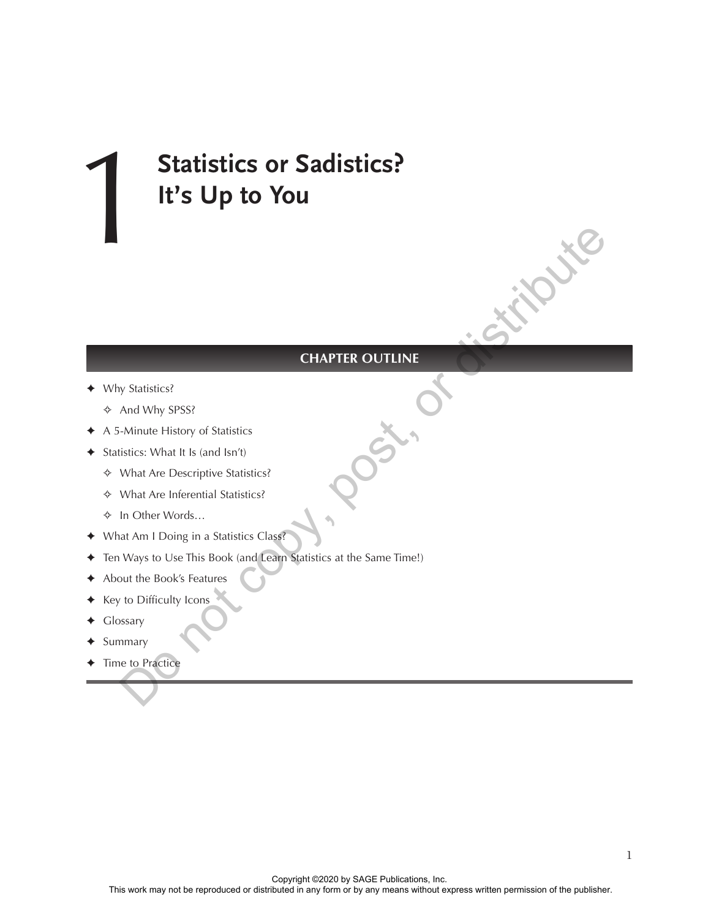# 1**Statistics or Sadistics? It's Up to You**

#### **CHAPTER OUTLINE**

- ✦ Why Statistics?
	- ✧ And Why SPSS?
- ✦ A 5-Minute History of Statistics
- ✦ Statistics: What It Is (and Isn't)
	- ✧ What Are Descriptive Statistics?
	- ✧ What Are Inferential Statistics?
	- ✧ In Other Words…
- ✦ What Am I Doing in a Statistics Class?
- ✦ Ten Ways to Use This Book (and Learn Statistics at the Same Time!) CHAPTER OUTLINE<br>
We Statistics?<br>
And Why SPSS?<br>
-Minute History of Statistics<br>
stitcs: What It Is (and Isn't)<br>
What Are Descriptive Statistics?<br>
In Other Words...<br>
In Other Words...<br>
Why s to Use This Book (and Learn Stati
- ✦ About the Book's Features
- Key to Difficulty Icons
- Glossary
- ✦ Summary
- ✦ Time to Practice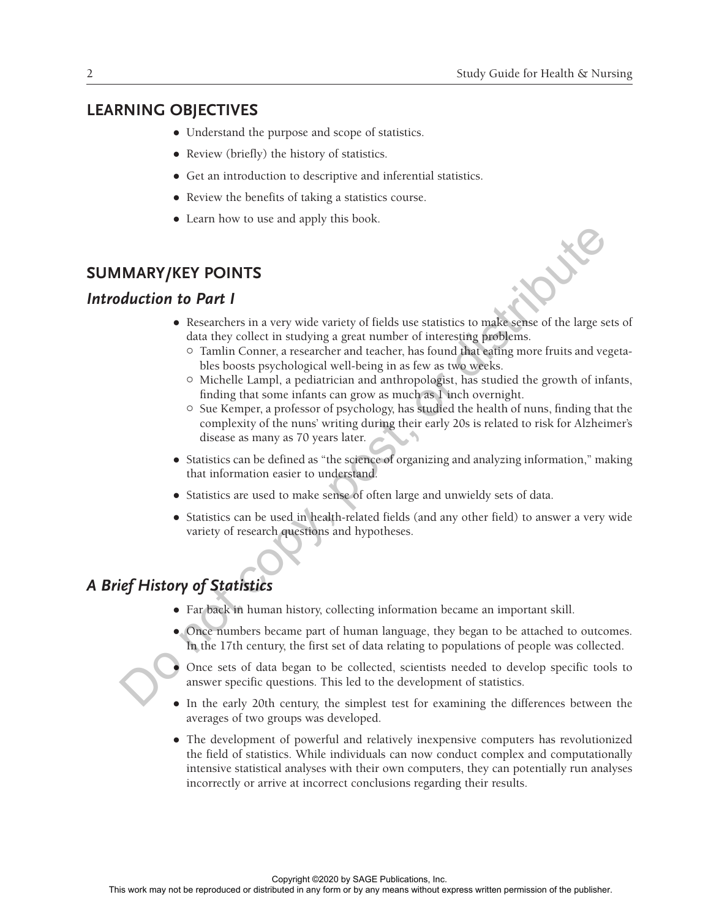## **LEARNING OBJECTIVES**

- Understand the purpose and scope of statistics.
- Review (briefly) the history of statistics.
- Get an introduction to descriptive and inferential statistics.
- Review the benefits of taking a statistics course.
- Learn how to use and apply this book.

## **SUMMARY/KEY POINTS**

#### *Introduction to Part I*

- Researchers in a very wide variety of fields use statistics to make sense of the large sets of data they collect in studying a great number of interesting problems.
	- <sup>o</sup> Tamlin Conner, a researcher and teacher, has found that eating more fruits and vegetables boosts psychological well-being in as few as two weeks.
	- { Michelle Lampl, a pediatrician and anthropologist, has studied the growth of infants, finding that some infants can grow as much as 1 inch overnight.
- $\circ$  Sue Kemper, a professor of psychology, has studied the health of nuns, finding that the complexity of the nuns' writing during their early 20s is related to risk for Alzheimer's disease as many as 70 years later. **IMARY/KEY POINTS**<br> **Solution to Part I**<br> **e** Researchers in a very wide variety of fields use statistics to make<br>series of the large sets data they collect in studying a great number of interesting profiles<br>  $\sim$  Tamlin
	- Statistics can be defined as "the science of organizing and analyzing information," making that information easier to understand.
	- Statistics are used to make sense of often large and unwieldy sets of data.
	- Statistics can be used in health-related fields (and any other field) to answer a very wide variety of research questions and hypotheses.

# *A Brief History of Statistics*

- Far back in human history, collecting information became an important skill.
- Once numbers became part of human language, they began to be attached to outcomes. In the 17th century, the first set of data relating to populations of people was collected.



- z Once sets of data began to be collected, scientists needed to develop specific tools to answer specific questions. This led to the development of statistics.
- In the early 20th century, the simplest test for examining the differences between the averages of two groups was developed.
- The development of powerful and relatively inexpensive computers has revolutionized the field of statistics. While individuals can now conduct complex and computationally intensive statistical analyses with their own computers, they can potentially run analyses incorrectly or arrive at incorrect conclusions regarding their results.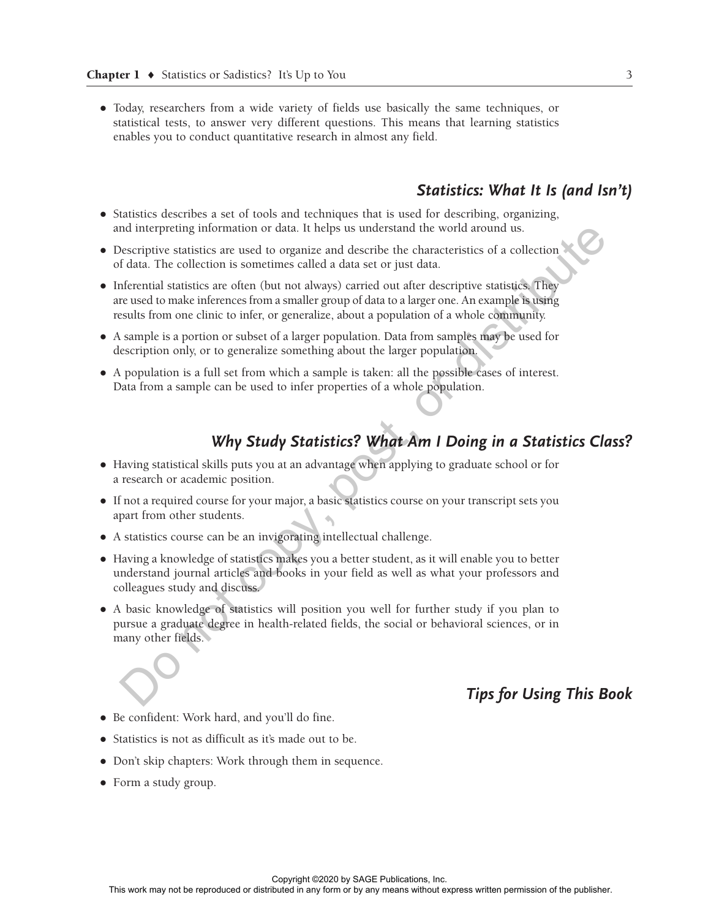• Today, researchers from a wide variety of fields use basically the same techniques, or statistical tests, to answer very different questions. This means that learning statistics enables you to conduct quantitative research in almost any field.

## *Statistics: What It Is (and Isn't)*

- Statistics describes a set of tools and techniques that is used for describing, organizing, and interpreting information or data. It helps us understand the world around us.
- Descriptive statistics are used to organize and describe the characteristics of a collection of data. The collection is sometimes called a data set or just data.
- Inferential statistics are often (but not always) carried out after descriptive statistics. They are used to make inferences from a smaller group of data to a larger one. An example is using results from one clinic to infer, or generalize, about a population of a whole community.
- A sample is a portion or subset of a larger population. Data from samples may be used for description only, or to generalize something about the larger population.
- A population is a full set from which a sample is taken: all the possible cases of interest. Data from a sample can be used to infer properties of a whole population.

# *Why Study Statistics? What Am I Doing in a Statistics Class?*

- Having statistical skills puts you at an advantage when applying to graduate school or for a research or academic position.
- If not a required course for your major, a basic statistics course on your transcript sets you apart from other students.
- A statistics course can be an invigorating intellectual challenge.
- Having a knowledge of statistics makes you a better student, as it will enable you to better understand journal articles and books in your field as well as what your professors and colleagues study and discuss.
- A basic knowledge of statistics will position you well for further study if you plan to pursue a graduate degree in health-related fields, the social or behavioral sciences, or in many other fields. and interpreting information or data. It helps us understand the world around us.<br>
Sescriptive statistics are used to organize and describe the characteristics of a collection<br>
and descriptive statistics or collection is s

## *Tips for Using This Book*

- Be confident: Work hard, and you'll do fine.
- Statistics is not as difficult as it's made out to be.
- Don't skip chapters: Work through them in sequence.
- Form a study group.